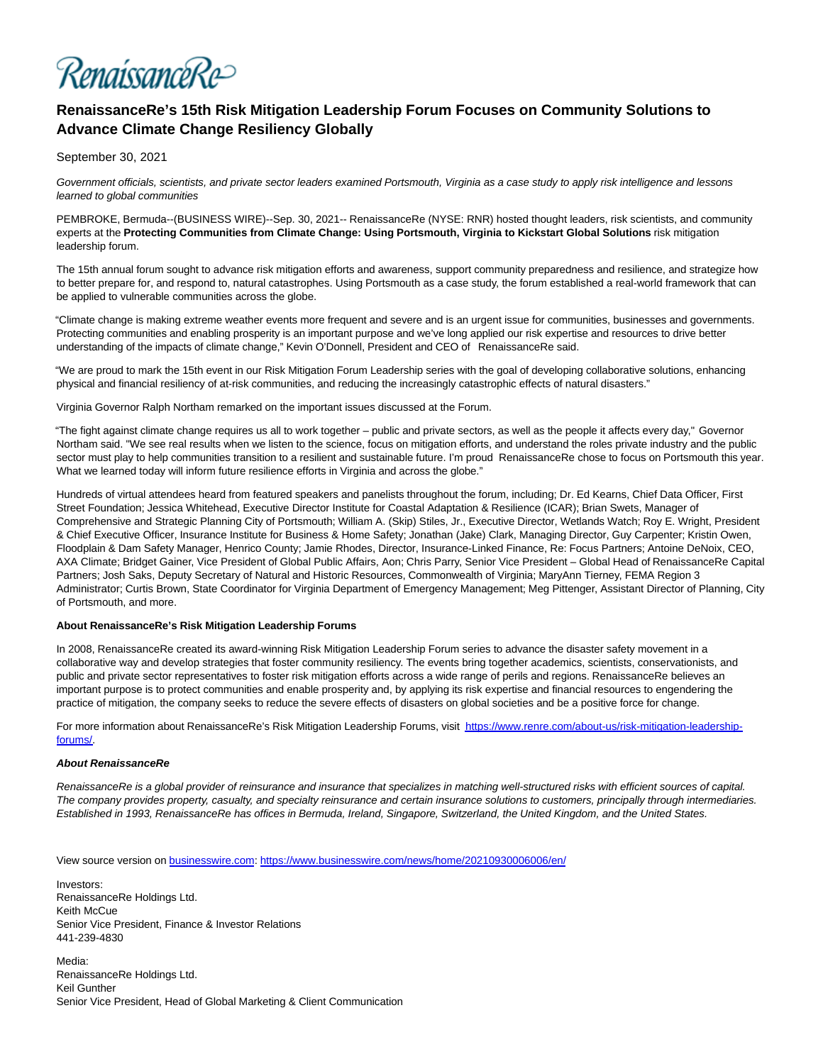RenaissanceRe>

## **RenaissanceRe's 15th Risk Mitigation Leadership Forum Focuses on Community Solutions to Advance Climate Change Resiliency Globally**

September 30, 2021

Government officials, scientists, and private sector leaders examined Portsmouth, Virginia as a case study to apply risk intelligence and lessons learned to global communities

PEMBROKE, Bermuda--(BUSINESS WIRE)--Sep. 30, 2021-- RenaissanceRe (NYSE: RNR) hosted thought leaders, risk scientists, and community experts at the **Protecting Communities from Climate Change: Using Portsmouth, Virginia to Kickstart Global Solutions** risk mitigation leadership forum.

The 15th annual forum sought to advance risk mitigation efforts and awareness, support community preparedness and resilience, and strategize how to better prepare for, and respond to, natural catastrophes. Using Portsmouth as a case study, the forum established a real-world framework that can be applied to vulnerable communities across the globe.

"Climate change is making extreme weather events more frequent and severe and is an urgent issue for communities, businesses and governments. Protecting communities and enabling prosperity is an important purpose and we've long applied our risk expertise and resources to drive better understanding of the impacts of climate change," Kevin O'Donnell, President and CEO of RenaissanceRe said.

"We are proud to mark the 15th event in our Risk Mitigation Forum Leadership series with the goal of developing collaborative solutions, enhancing physical and financial resiliency of at-risk communities, and reducing the increasingly catastrophic effects of natural disasters."

Virginia Governor Ralph Northam remarked on the important issues discussed at the Forum.

"The fight against climate change requires us all to work together – public and private sectors, as well as the people it affects every day," Governor Northam said. "We see real results when we listen to the science, focus on mitigation efforts, and understand the roles private industry and the public sector must play to help communities transition to a resilient and sustainable future. I'm proud RenaissanceRe chose to focus on Portsmouth this year. What we learned today will inform future resilience efforts in Virginia and across the globe."

Hundreds of virtual attendees heard from featured speakers and panelists throughout the forum, including; Dr. Ed Kearns, Chief Data Officer, First Street Foundation; Jessica Whitehead, Executive Director Institute for Coastal Adaptation & Resilience (ICAR); Brian Swets, Manager of Comprehensive and Strategic Planning City of Portsmouth; William A. (Skip) Stiles, Jr., Executive Director, Wetlands Watch; Roy E. Wright, President & Chief Executive Officer, Insurance Institute for Business & Home Safety; Jonathan (Jake) Clark, Managing Director, Guy Carpenter; Kristin Owen, Floodplain & Dam Safety Manager, Henrico County; Jamie Rhodes, Director, Insurance-Linked Finance, Re: Focus Partners; Antoine DeNoix, CEO, AXA Climate; Bridget Gainer, Vice President of Global Public Affairs, Aon; Chris Parry, Senior Vice President – Global Head of RenaissanceRe Capital Partners; Josh Saks, Deputy Secretary of Natural and Historic Resources, Commonwealth of Virginia; MaryAnn Tierney, FEMA Region 3 Administrator; Curtis Brown, State Coordinator for Virginia Department of Emergency Management; Meg Pittenger, Assistant Director of Planning, City of Portsmouth, and more.

## **About RenaissanceRe's Risk Mitigation Leadership Forums**

In 2008, RenaissanceRe created its award-winning Risk Mitigation Leadership Forum series to advance the disaster safety movement in a collaborative way and develop strategies that foster community resiliency. The events bring together academics, scientists, conservationists, and public and private sector representatives to foster risk mitigation efforts across a wide range of perils and regions. RenaissanceRe believes an important purpose is to protect communities and enable prosperity and, by applying its risk expertise and financial resources to engendering the practice of mitigation, the company seeks to reduce the severe effects of disasters on global societies and be a positive force for change.

For more information about RenaissanceRe's Risk Mitigation Leadership Forums, visit [https://www.renre.com/about-us/risk-mitigation-leadership](https://cts.businesswire.com/ct/CT?id=smartlink&url=https%3A%2F%2Fwww.renre.com%2Fabout-us%2Frisk-mitigation-leadership-forums%2F&esheet=52501822&newsitemid=20210930006006&lan=en-US&anchor=https%3A%2F%2Fwww.renre.com%2Fabout-us%2Frisk-mitigation-leadership-forums%2F&index=1&md5=9cad63988cbc703f6f796bfef06c66b9)forums/.

## **About RenaissanceRe**

RenaissanceRe is a global provider of reinsurance and insurance that specializes in matching well-structured risks with efficient sources of capital. The company provides property, casualty, and specialty reinsurance and certain insurance solutions to customers, principally through intermediaries. Established in 1993, RenaissanceRe has offices in Bermuda, Ireland, Singapore, Switzerland, the United Kingdom, and the United States.

View source version on [businesswire.com:](http://businesswire.com/)<https://www.businesswire.com/news/home/20210930006006/en/>

Investors: RenaissanceRe Holdings Ltd. Keith McCue Senior Vice President, Finance & Investor Relations 441-239-4830

Media: RenaissanceRe Holdings Ltd. Keil Gunther Senior Vice President, Head of Global Marketing & Client Communication